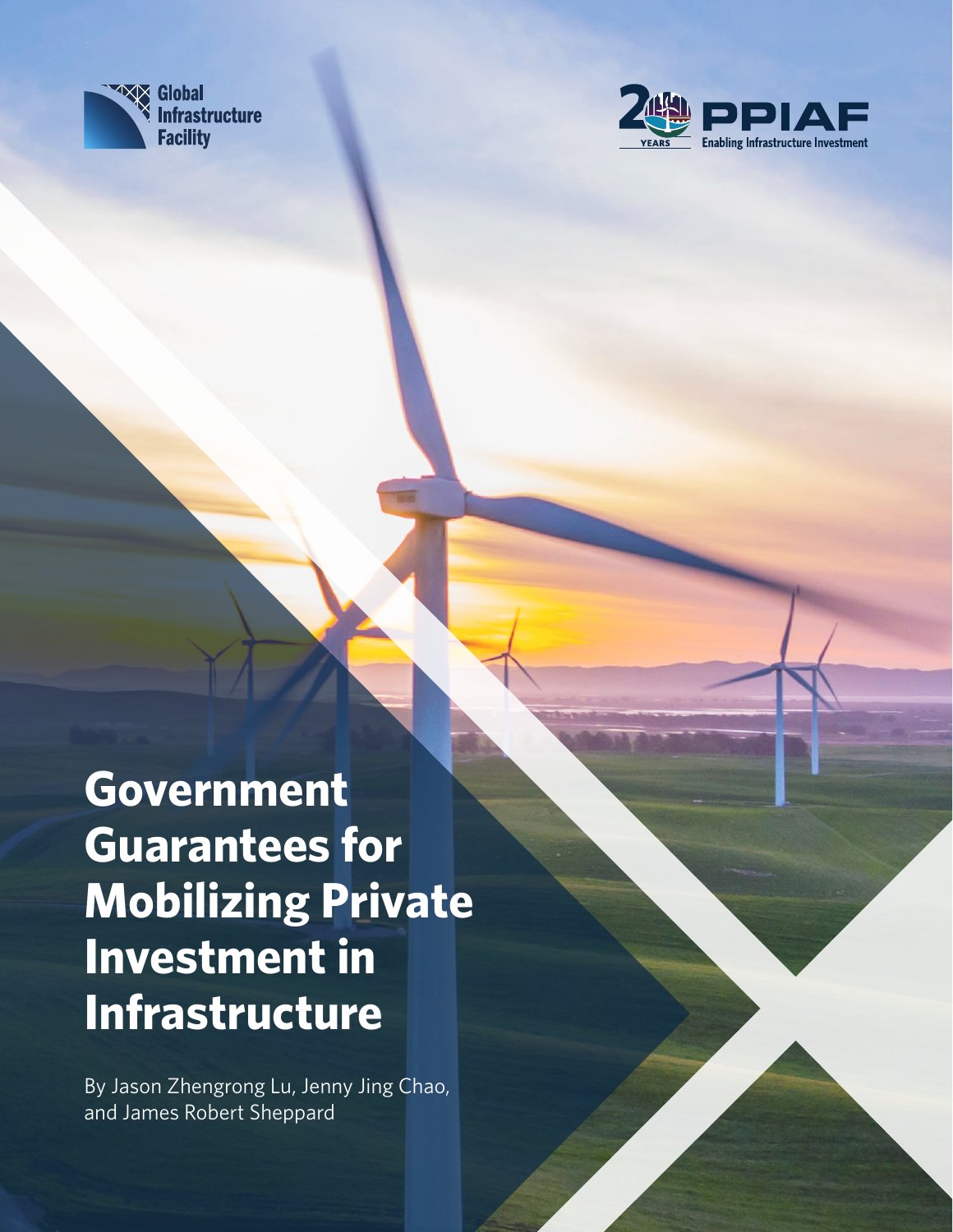



Government Guarantees for Mobilizing Private Investment in Infrastructure • 1

**Government Guarantees for Mobilizing Private Investment in Infrastructure**

By Jason Zhengrong Lu, Jenny Jing Chao, and James Robert Sheppard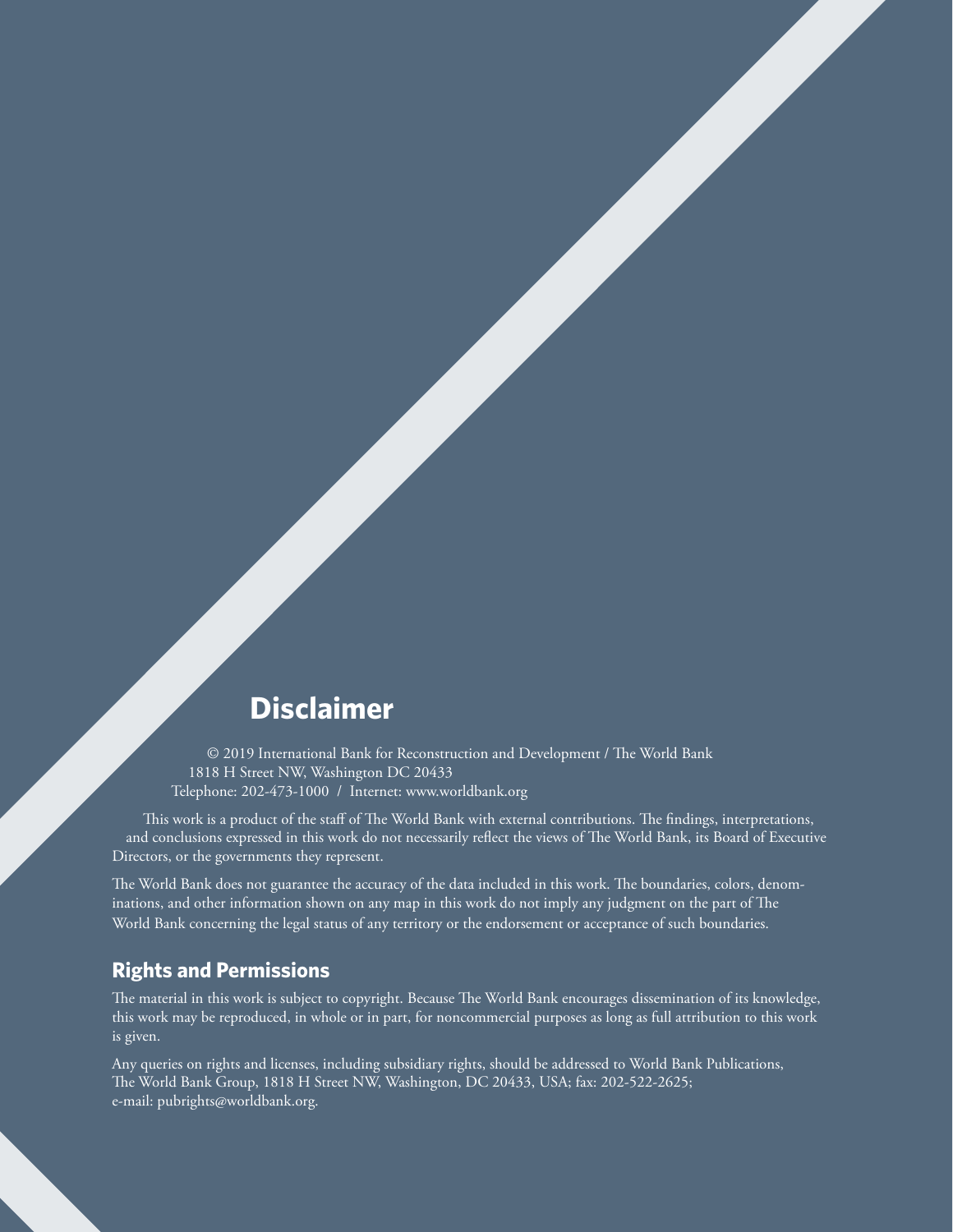### **Disclaimer**

© 2019 International Bank for Reconstruction and Development / The World Bank 1818 H Street NW, Washington DC 20433 Telephone: 202-473-1000 / Internet: www.worldbank.org

This work is a product of the staff of The World Bank with external contributions. The findings, interpretations, and conclusions expressed in this work do not necessarily reflect the views of The World Bank, its Board of Executive Directors, or the governments they represent.

The World Bank does not guarantee the accuracy of the data included in this work. The boundaries, colors, denominations, and other information shown on any map in this work do not imply any judgment on the part of The World Bank concerning the legal status of any territory or the endorsement or acceptance of such boundaries.

#### **Rights and Permissions**

The material in this work is subject to copyright. Because The World Bank encourages dissemination of its knowledge, this work may be reproduced, in whole or in part, for noncommercial purposes as long as full attribution to this work is given.

Any queries on rights and licenses, including subsidiary rights, should be addressed to World Bank Publications, The World Bank Group, 1818 H Street NW, Washington, DC 20433, USA; fax: 202-522-2625; e-mail: pubrights@worldbank.org.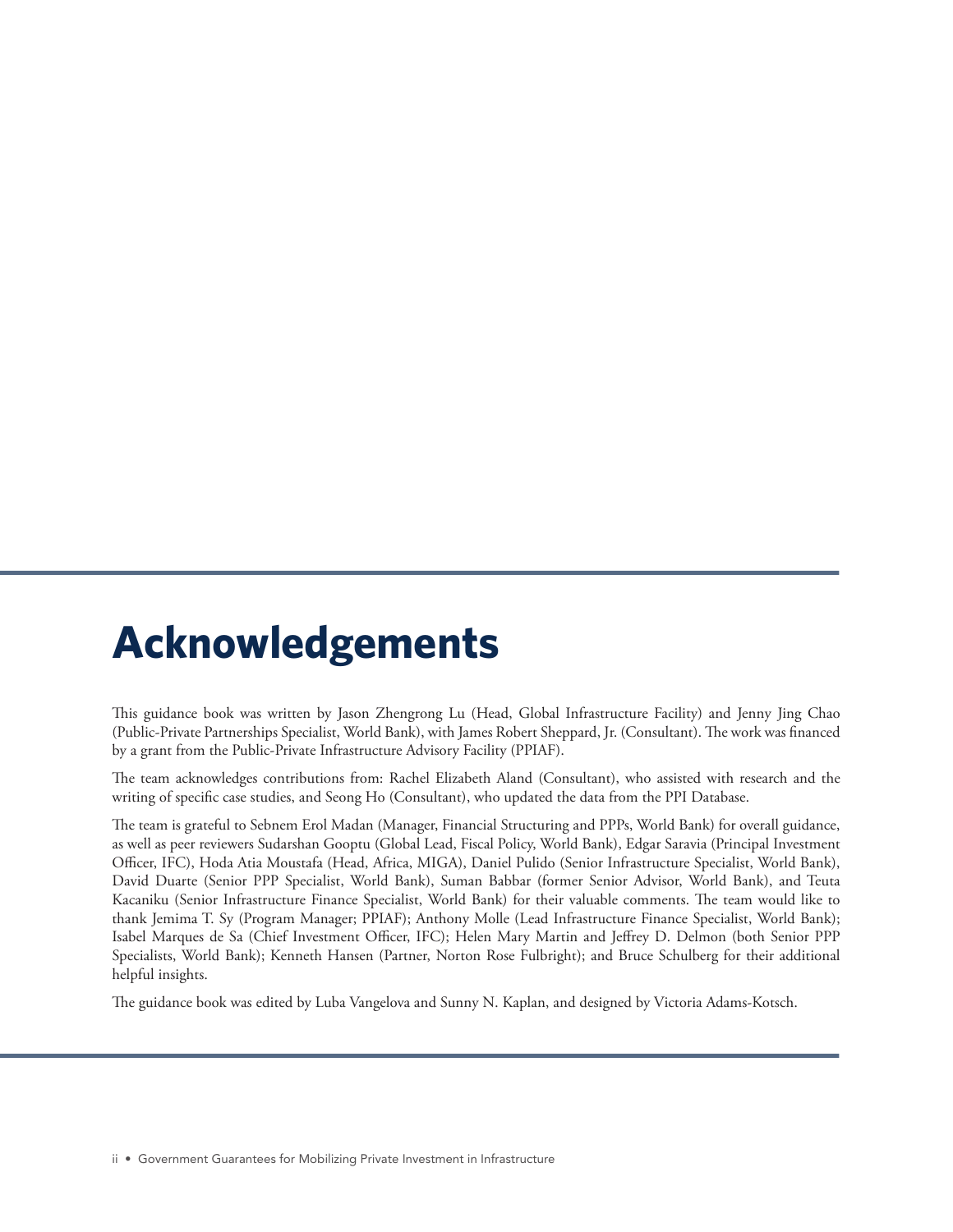## **Acknowledgements**

This guidance book was written by Jason Zhengrong Lu (Head, Global Infrastructure Facility) and Jenny Jing Chao (Public-Private Partnerships Specialist, World Bank), with James Robert Sheppard, Jr. (Consultant). The work was financed by a grant from the Public-Private Infrastructure Advisory Facility (PPIAF).

The team acknowledges contributions from: Rachel Elizabeth Aland (Consultant), who assisted with research and the writing of specific case studies, and Seong Ho (Consultant), who updated the data from the PPI Database.

The team is grateful to Sebnem Erol Madan (Manager, Financial Structuring and PPPs, World Bank) for overall guidance, as well as peer reviewers Sudarshan Gooptu (Global Lead, Fiscal Policy, World Bank), Edgar Saravia (Principal Investment Officer, IFC), Hoda Atia Moustafa (Head, Africa, MIGA), Daniel Pulido (Senior Infrastructure Specialist, World Bank), David Duarte (Senior PPP Specialist, World Bank), Suman Babbar (former Senior Advisor, World Bank), and Teuta Kacaniku (Senior Infrastructure Finance Specialist, World Bank) for their valuable comments. The team would like to thank Jemima T. Sy (Program Manager; PPIAF); Anthony Molle (Lead Infrastructure Finance Specialist, World Bank); Isabel Marques de Sa (Chief Investment Officer, IFC); Helen Mary Martin and Jeffrey D. Delmon (both Senior PPP Specialists, World Bank); Kenneth Hansen (Partner, Norton Rose Fulbright); and Bruce Schulberg for their additional helpful insights.

The guidance book was edited by Luba Vangelova and Sunny N. Kaplan, and designed by Victoria Adams-Kotsch.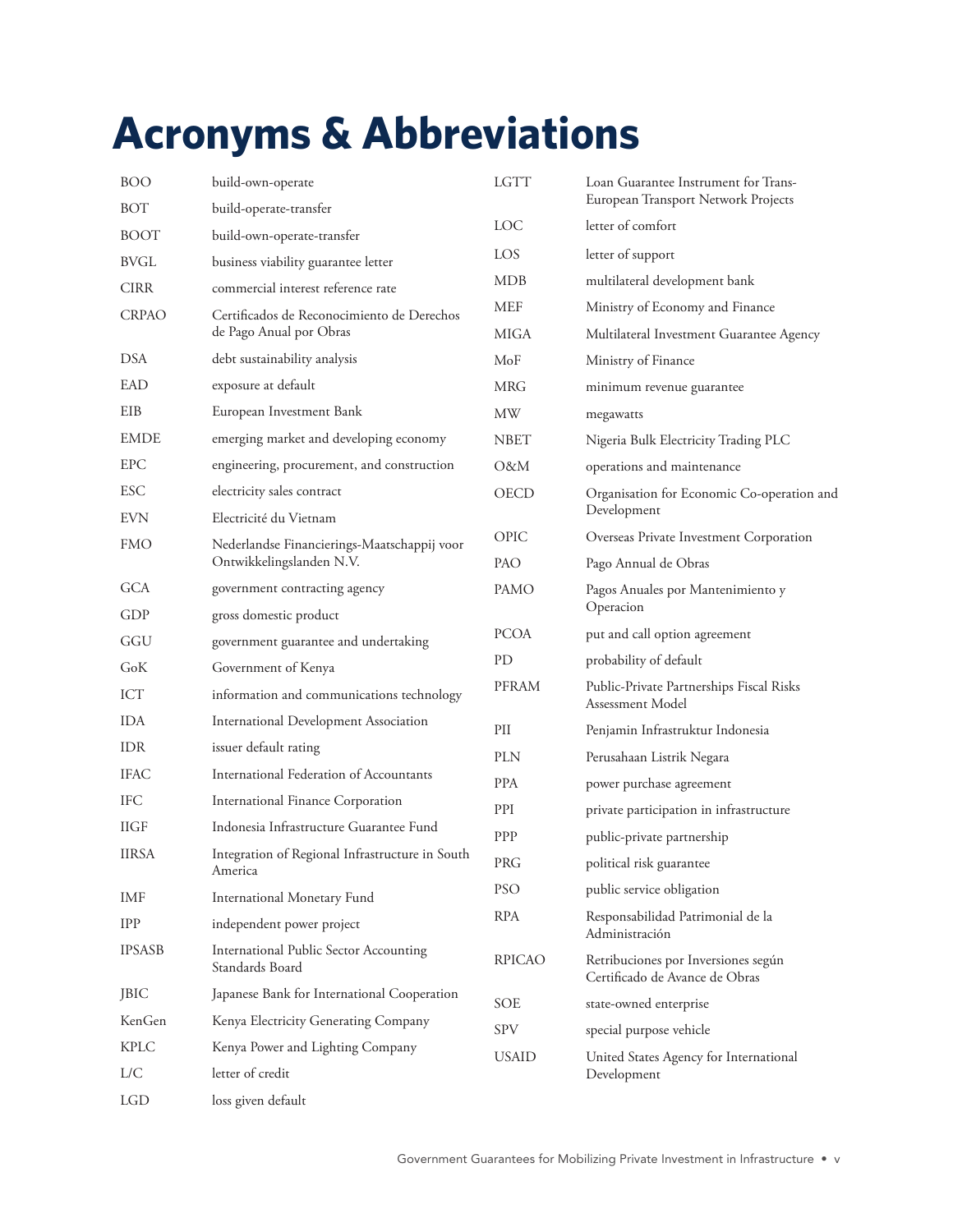# **Acronyms & Abbreviations**

| <b>BOO</b>    | build-own-operate                                          | <b>LGTT</b>   | Loan Guarantee Instrument for Trans-<br>European Transport Network Projects             |
|---------------|------------------------------------------------------------|---------------|-----------------------------------------------------------------------------------------|
| BOT           | build-operate-transfer                                     |               |                                                                                         |
| <b>BOOT</b>   | build-own-operate-transfer                                 | LOC           | letter of comfort                                                                       |
| <b>BVGL</b>   | business viability guarantee letter                        | LOS.          | letter of support                                                                       |
| <b>CIRR</b>   | commercial interest reference rate                         | <b>MDB</b>    | multilateral development bank                                                           |
| <b>CRPAO</b>  | Certificados de Reconocimiento de Derechos                 | <b>MEF</b>    | Ministry of Economy and Finance                                                         |
|               | de Pago Anual por Obras                                    | MIGA          | Multilateral Investment Guarantee Agency                                                |
| <b>DSA</b>    | debt sustainability analysis                               | MoF           | Ministry of Finance                                                                     |
| EAD           | exposure at default                                        | <b>MRG</b>    | minimum revenue guarantee                                                               |
| EIB           | European Investment Bank                                   | MW            | megawatts                                                                               |
| <b>EMDE</b>   | emerging market and developing economy                     | <b>NBET</b>   | Nigeria Bulk Electricity Trading PLC                                                    |
| <b>EPC</b>    | engineering, procurement, and construction                 | O&M           | operations and maintenance                                                              |
| <b>ESC</b>    | electricity sales contract                                 | OECD          | Organisation for Economic Co-operation and                                              |
| <b>EVN</b>    | Electricité du Vietnam                                     |               | Development                                                                             |
| <b>FMO</b>    | Nederlandse Financierings-Maatschappij voor                | OPIC          | Overseas Private Investment Corporation                                                 |
|               | Ontwikkelingslanden N.V.                                   | PAO           | Pago Annual de Obras                                                                    |
| <b>GCA</b>    | government contracting agency                              | <b>PAMO</b>   | Pagos Anuales por Mantenimiento y<br>Operacion                                          |
| GDP           | gross domestic product                                     | <b>PCOA</b>   | put and call option agreement                                                           |
| GGU           | government guarantee and undertaking                       |               |                                                                                         |
| GoK           | Government of Kenya                                        | PD            | probability of default                                                                  |
| ICT           | information and communications technology                  | PFRAM         | Public-Private Partnerships Fiscal Risks<br>Assessment Model                            |
| <b>IDA</b>    | International Development Association                      | PII           | Penjamin Infrastruktur Indonesia                                                        |
| IDR           | issuer default rating                                      | <b>PLN</b>    | Perusahaan Listrik Negara                                                               |
| <b>IFAC</b>   | International Federation of Accountants                    | <b>PPA</b>    | power purchase agreement                                                                |
| <b>IFC</b>    | International Finance Corporation                          | PPI           | private participation in infrastructure                                                 |
| <b>IIGF</b>   | Indonesia Infrastructure Guarantee Fund                    | PPP           | public-private partnership                                                              |
| <b>IIRSA</b>  | Integration of Regional Infrastructure in South<br>America | PRG           | political risk guarantee                                                                |
| IMF           | <b>International Monetary Fund</b>                         | <b>PSO</b>    | public service obligation                                                               |
| <b>IPP</b>    | independent power project                                  | RPA           | Responsabilidad Patrimonial de la                                                       |
| <b>IPSASB</b> | International Public Sector Accounting                     |               | Administración<br>Retribuciones por Inversiones según<br>Certificado de Avance de Obras |
|               | Standards Board                                            | <b>RPICAO</b> |                                                                                         |
| JBIC          | Japanese Bank for International Cooperation                | SOE           | state-owned enterprise                                                                  |
| KenGen        | Kenya Electricity Generating Company                       | SPV           | special purpose vehicle                                                                 |
| <b>KPLC</b>   | Kenya Power and Lighting Company                           | <b>USAID</b>  | United States Agency for International                                                  |
| L/C           | letter of credit                                           |               | Development                                                                             |
| LGD           | loss given default                                         |               |                                                                                         |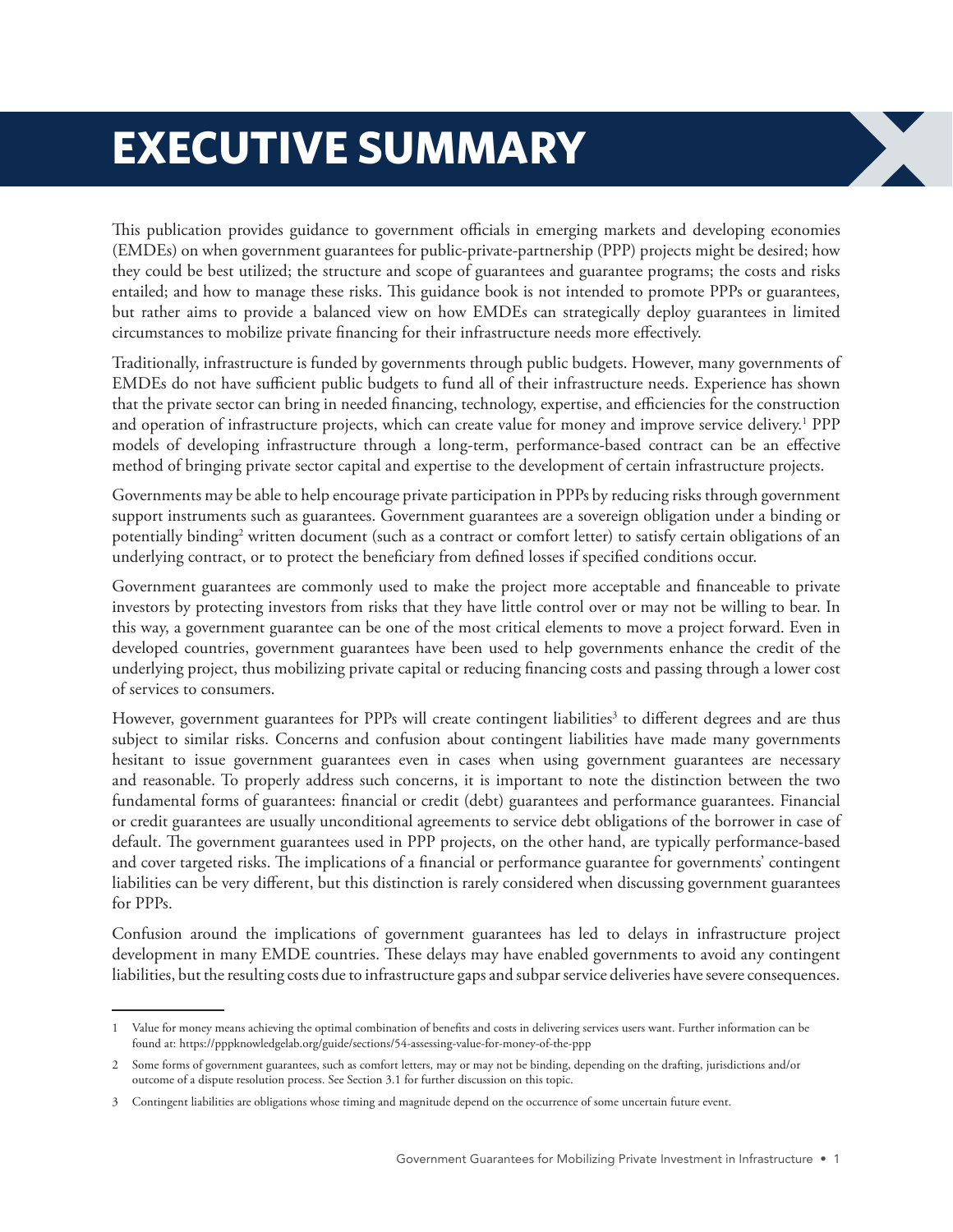# **EXECUTIVE SUMMARY**

This publication provides guidance to government officials in emerging markets and developing economies (EMDEs) on when government guarantees for public-private-partnership (PPP) projects might be desired; how they could be best utilized; the structure and scope of guarantees and guarantee programs; the costs and risks entailed; and how to manage these risks. This guidance book is not intended to promote PPPs or guarantees, but rather aims to provide a balanced view on how EMDEs can strategically deploy guarantees in limited circumstances to mobilize private financing for their infrastructure needs more effectively.

Traditionally, infrastructure is funded by governments through public budgets. However, many governments of EMDEs do not have sufficient public budgets to fund all of their infrastructure needs. Experience has shown that the private sector can bring in needed financing, technology, expertise, and efficiencies for the construction and operation of infrastructure projects, which can create value for money and improve service delivery.<sup>1</sup> PPP models of developing infrastructure through a long-term, performance-based contract can be an effective method of bringing private sector capital and expertise to the development of certain infrastructure projects.

Governments may be able to help encourage private participation in PPPs by reducing risks through government support instruments such as guarantees. Government guarantees are a sovereign obligation under a binding or potentially binding<sup>2</sup> written document (such as a contract or comfort letter) to satisfy certain obligations of an underlying contract, or to protect the beneficiary from defined losses if specified conditions occur.

Government guarantees are commonly used to make the project more acceptable and financeable to private investors by protecting investors from risks that they have little control over or may not be willing to bear. In this way, a government guarantee can be one of the most critical elements to move a project forward. Even in developed countries, government guarantees have been used to help governments enhance the credit of the underlying project, thus mobilizing private capital or reducing financing costs and passing through a lower cost of services to consumers.

However, government guarantees for PPPs will create contingent liabilities<sup>3</sup> to different degrees and are thus subject to similar risks. Concerns and confusion about contingent liabilities have made many governments hesitant to issue government guarantees even in cases when using government guarantees are necessary and reasonable. To properly address such concerns, it is important to note the distinction between the two fundamental forms of guarantees: financial or credit (debt) guarantees and performance guarantees. Financial or credit guarantees are usually unconditional agreements to service debt obligations of the borrower in case of default. The government guarantees used in PPP projects, on the other hand, are typically performance-based and cover targeted risks. The implications of a financial or performance guarantee for governments' contingent liabilities can be very different, but this distinction is rarely considered when discussing government guarantees for PPPs.

Confusion around the implications of government guarantees has led to delays in infrastructure project development in many EMDE countries. These delays may have enabled governments to avoid any contingent liabilities, but the resulting costs due to infrastructure gaps and subpar service deliveries have severe consequences.

<sup>1</sup> Value for money means achieving the optimal combination of benefits and costs in delivering services users want. Further information can be found at: https://pppknowledgelab.org/guide/sections/54-assessing-value-for-money-of-the-ppp

<sup>2</sup> Some forms of government guarantees, such as comfort letters, may or may not be binding, depending on the drafting, jurisdictions and/or outcome of a dispute resolution process. See Section 3.1 for further discussion on this topic.

<sup>3</sup> Contingent liabilities are obligations whose timing and magnitude depend on the occurrence of some uncertain future event.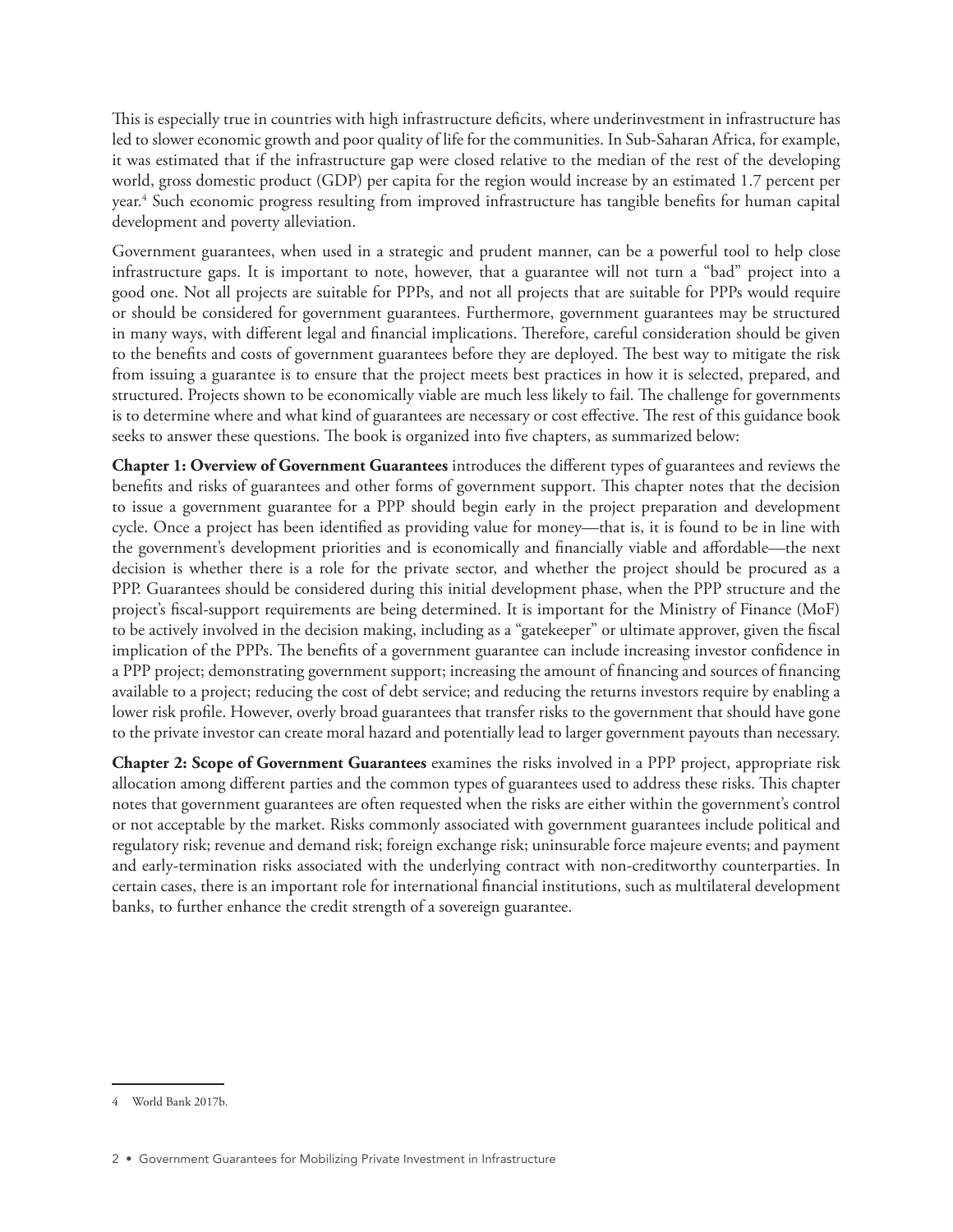This is especially true in countries with high infrastructure deficits, where underinvestment in infrastructure has led to slower economic growth and poor quality of life for the communities. In Sub-Saharan Africa, for example, it was estimated that if the infrastructure gap were closed relative to the median of the rest of the developing world, gross domestic product (GDP) per capita for the region would increase by an estimated 1.7 percent per year.4 Such economic progress resulting from improved infrastructure has tangible benefits for human capital development and poverty alleviation.

Government guarantees, when used in a strategic and prudent manner, can be a powerful tool to help close infrastructure gaps. It is important to note, however, that a guarantee will not turn a "bad" project into a good one. Not all projects are suitable for PPPs, and not all projects that are suitable for PPPs would require or should be considered for government guarantees. Furthermore, government guarantees may be structured in many ways, with different legal and financial implications. Therefore, careful consideration should be given to the benefits and costs of government guarantees before they are deployed. The best way to mitigate the risk from issuing a guarantee is to ensure that the project meets best practices in how it is selected, prepared, and structured. Projects shown to be economically viable are much less likely to fail. The challenge for governments is to determine where and what kind of guarantees are necessary or cost effective. The rest of this guidance book seeks to answer these questions. The book is organized into five chapters, as summarized below:

**Chapter 1: Overview of Government Guarantees** introduces the different types of guarantees and reviews the benefits and risks of guarantees and other forms of government support. This chapter notes that the decision to issue a government guarantee for a PPP should begin early in the project preparation and development cycle. Once a project has been identified as providing value for money—that is, it is found to be in line with the government's development priorities and is economically and financially viable and affordable—the next decision is whether there is a role for the private sector, and whether the project should be procured as a PPP. Guarantees should be considered during this initial development phase, when the PPP structure and the project's fiscal-support requirements are being determined. It is important for the Ministry of Finance (MoF) to be actively involved in the decision making, including as a "gatekeeper" or ultimate approver, given the fiscal implication of the PPPs. The benefits of a government guarantee can include increasing investor confidence in a PPP project; demonstrating government support; increasing the amount of financing and sources of financing available to a project; reducing the cost of debt service; and reducing the returns investors require by enabling a lower risk profile. However, overly broad guarantees that transfer risks to the government that should have gone to the private investor can create moral hazard and potentially lead to larger government payouts than necessary.

**Chapter 2: Scope of Government Guarantees** examines the risks involved in a PPP project, appropriate risk allocation among different parties and the common types of guarantees used to address these risks. This chapter notes that government guarantees are often requested when the risks are either within the government's control or not acceptable by the market. Risks commonly associated with government guarantees include political and regulatory risk; revenue and demand risk; foreign exchange risk; uninsurable force majeure events; and payment and early-termination risks associated with the underlying contract with non-creditworthy counterparties. In certain cases, there is an important role for international financial institutions, such as multilateral development banks, to further enhance the credit strength of a sovereign guarantee.

<sup>4</sup> World Bank 2017b.